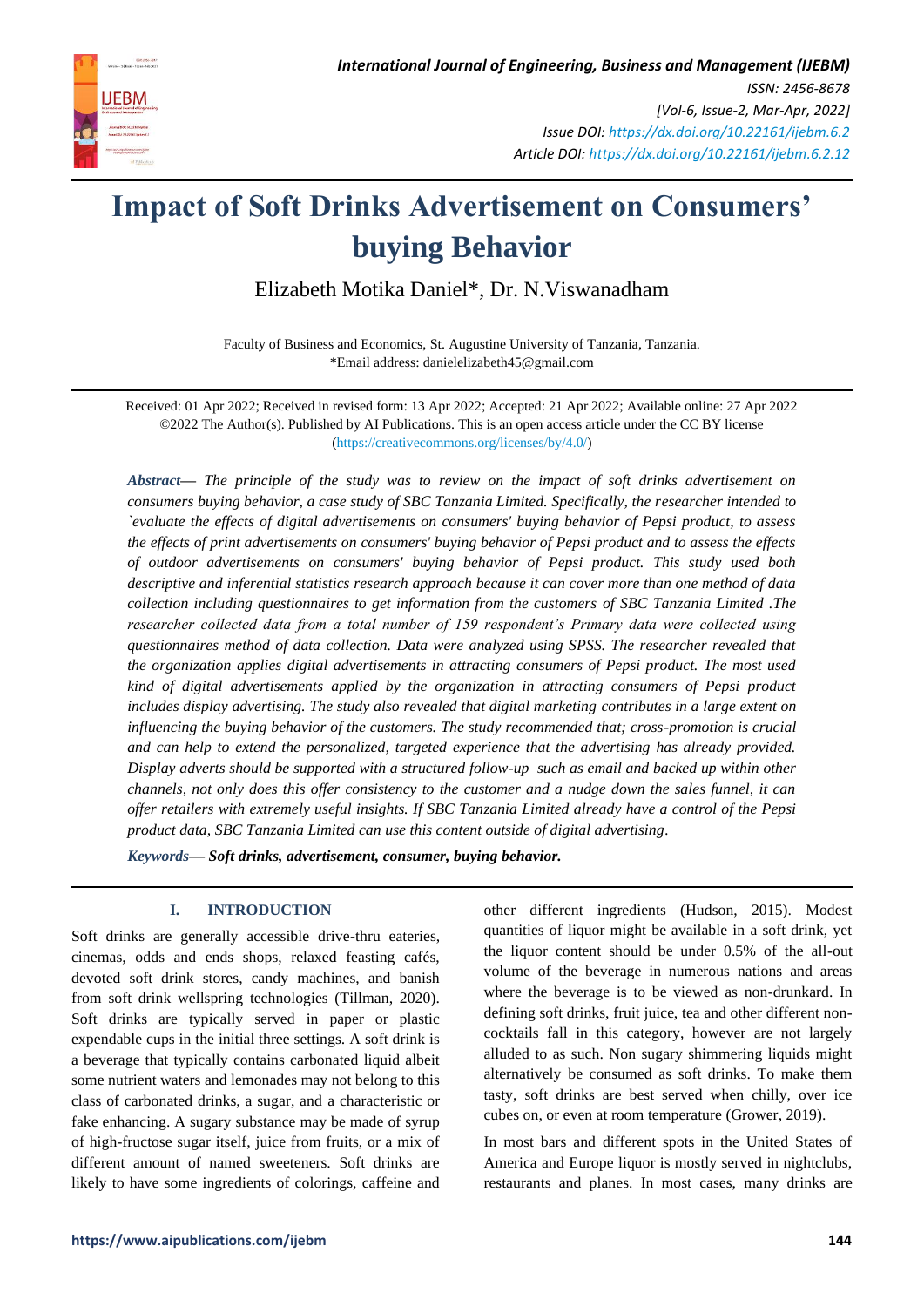

# **Impact of Soft Drinks Advertisement on Consumers' buying Behavior**

Elizabeth Motika Daniel\*, Dr. N.Viswanadham

Faculty of Business and Economics, St. Augustine University of Tanzania, Tanzania. \*Email address: danielelizabeth45@gmail.com

Received: 01 Apr 2022; Received in revised form: 13 Apr 2022; Accepted: 21 Apr 2022; Available online: 27 Apr 2022 ©2022 The Author(s). Published by AI Publications. This is an open access article under the CC BY license [\(https://creativecommons.org/licenses/by/4.0/\)](https://creativecommons.org/licenses/by/4.0/)

*Abstract— The principle of the study was to review on the impact of soft drinks advertisement on consumers buying behavior, a case study of SBC Tanzania Limited. Specifically, the researcher intended to `evaluate the effects of digital advertisements on consumers' buying behavior of Pepsi product, to assess the effects of print advertisements on consumers' buying behavior of Pepsi product and to assess the effects of outdoor advertisements on consumers' buying behavior of Pepsi product. This study used both descriptive and inferential statistics research approach because it can cover more than one method of data collection including questionnaires to get information from the customers of SBC Tanzania Limited .The researcher collected data from a total number of 159 respondent's Primary data were collected using questionnaires method of data collection. Data were analyzed using SPSS. The researcher revealed that the organization applies digital advertisements in attracting consumers of Pepsi product. The most used kind of digital advertisements applied by the organization in attracting consumers of Pepsi product includes display advertising. The study also revealed that digital marketing contributes in a large extent on influencing the buying behavior of the customers. The study recommended that; cross-promotion is crucial and can help to extend the personalized, targeted experience that the advertising has already provided. Display adverts should be supported with a structured follow-up such as email and backed up within other channels, not only does this offer consistency to the customer and a nudge down the sales funnel, it can offer retailers with extremely useful insights. If SBC Tanzania Limited already have a control of the Pepsi product data, SBC Tanzania Limited can use this content outside of digital advertising.*

*Keywords— Soft drinks, advertisement, consumer, buying behavior.*

# **I. INTRODUCTION**

Soft drinks are generally accessible drive-thru eateries, cinemas, odds and ends shops, relaxed feasting cafés, devoted soft drink stores, candy machines, and banish from soft drink wellspring technologies (Tillman, 2020). Soft drinks are typically served in paper or plastic expendable cups in the initial three settings. A soft drink is a beverage that typically contains carbonated liquid albeit some nutrient waters and lemonades may not belong to this class of carbonated drinks, a sugar, and a characteristic or fake enhancing. A sugary substance may be made of syrup of high-fructose sugar itself, juice from fruits, or a mix of different amount of named sweeteners. Soft drinks are likely to have some ingredients of colorings, caffeine and other different ingredients (Hudson, 2015). Modest quantities of liquor might be available in a soft drink, yet the liquor content should be under 0.5% of the all-out volume of the beverage in numerous nations and areas where the beverage is to be viewed as non-drunkard. In defining soft drinks, fruit juice, tea and other different noncocktails fall in this category, however are not largely alluded to as such. Non sugary shimmering liquids might alternatively be consumed as soft drinks. To make them tasty, soft drinks are best served when chilly, over ice cubes on, or even at room temperature (Grower, 2019).

In most bars and different spots in the United States of America and Europe liquor is mostly served in nightclubs, restaurants and planes. In most cases, many drinks are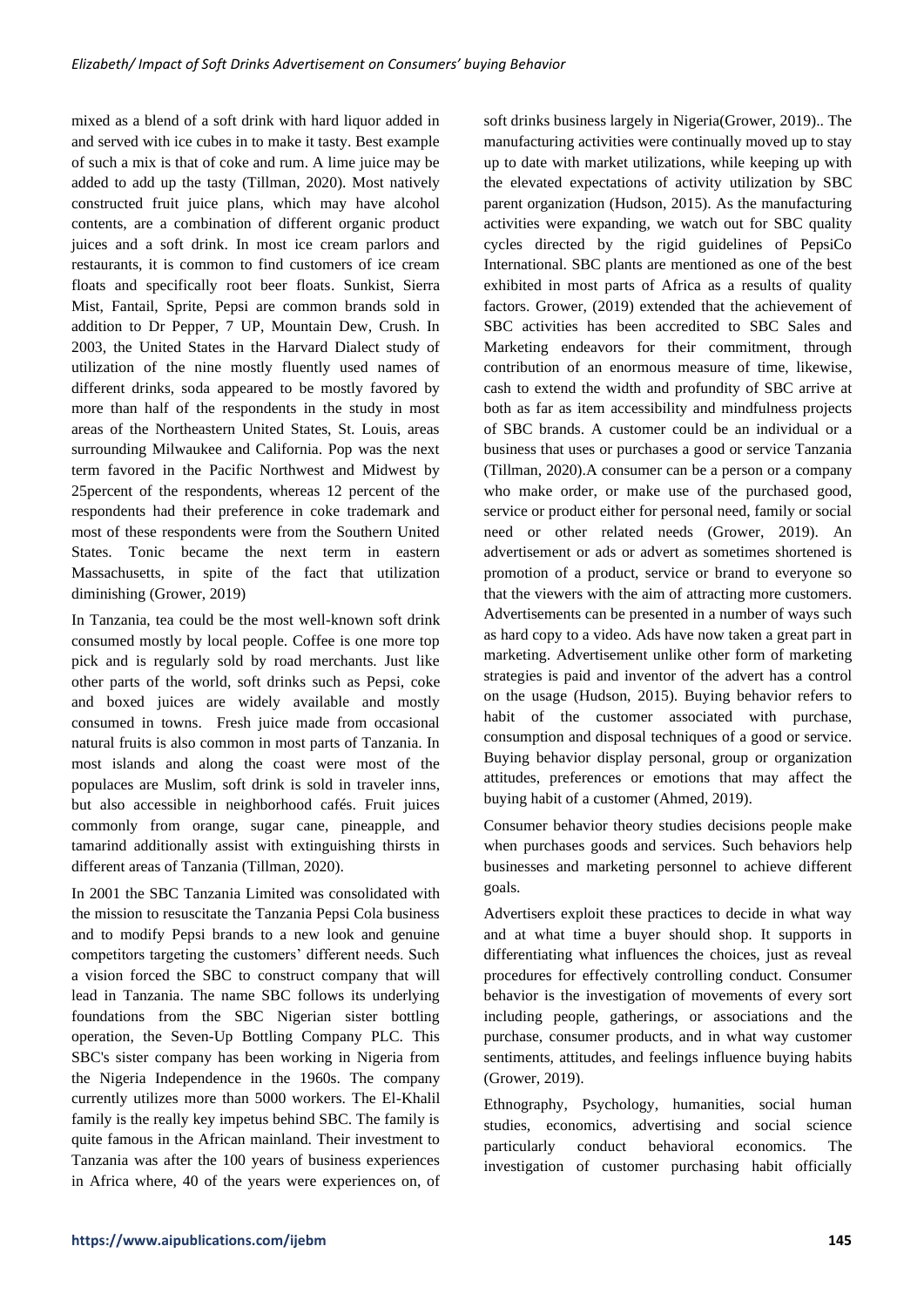mixed as a blend of a soft drink with hard liquor added in and served with ice cubes in to make it tasty. Best example of such a mix is that of coke and rum. A lime juice may be added to add up the tasty (Tillman, 2020). Most natively constructed fruit juice plans, which may have alcohol contents, are a combination of different organic product juices and a soft drink. In most ice cream parlors and restaurants, it is common to find customers of ice cream floats and specifically root beer floats. Sunkist, Sierra Mist, Fantail, Sprite, Pepsi are common brands sold in addition to Dr Pepper, 7 UP, Mountain Dew, Crush. In 2003, the United States in the Harvard Dialect study of utilization of the nine mostly fluently used names of different drinks, soda appeared to be mostly favored by more than half of the respondents in the study in most areas of the Northeastern United States, St. Louis, areas surrounding Milwaukee and California. Pop was the next term favored in the Pacific Northwest and Midwest by 25percent of the respondents, whereas 12 percent of the respondents had their preference in coke trademark and most of these respondents were from the Southern United States. Tonic became the next term in eastern Massachusetts, in spite of the fact that utilization diminishing (Grower, 2019)

In Tanzania, tea could be the most well-known soft drink consumed mostly by local people. Coffee is one more top pick and is regularly sold by road merchants. Just like other parts of the world, soft drinks such as Pepsi, coke and boxed juices are widely available and mostly consumed in towns. Fresh juice made from occasional natural fruits is also common in most parts of Tanzania. In most islands and along the coast were most of the populaces are Muslim, soft drink is sold in traveler inns, but also accessible in neighborhood cafés. Fruit juices commonly from orange, sugar cane, pineapple, and tamarind additionally assist with extinguishing thirsts in different areas of Tanzania (Tillman, 2020).

In 2001 the SBC Tanzania Limited was consolidated with the mission to resuscitate the Tanzania Pepsi Cola business and to modify Pepsi brands to a new look and genuine competitors targeting the customers' different needs. Such a vision forced the SBC to construct company that will lead in Tanzania. The name SBC follows its underlying foundations from the SBC Nigerian sister bottling operation, the Seven-Up Bottling Company PLC. This SBC's sister company has been working in Nigeria from the Nigeria Independence in the 1960s. The company currently utilizes more than 5000 workers. The El-Khalil family is the really key impetus behind SBC. The family is quite famous in the African mainland. Their investment to Tanzania was after the 100 years of business experiences in Africa where, 40 of the years were experiences on, of soft drinks business largely in Nigeria(Grower, 2019).. The manufacturing activities were continually moved up to stay up to date with market utilizations, while keeping up with the elevated expectations of activity utilization by SBC parent organization (Hudson, 2015). As the manufacturing activities were expanding, we watch out for SBC quality cycles directed by the rigid guidelines of PepsiCo International. SBC plants are mentioned as one of the best exhibited in most parts of Africa as a results of quality factors. Grower, (2019) extended that the achievement of SBC activities has been accredited to SBC Sales and Marketing endeavors for their commitment, through contribution of an enormous measure of time, likewise, cash to extend the width and profundity of SBC arrive at both as far as item accessibility and mindfulness projects of SBC brands. A customer could be an individual or a business that uses or purchases a good or service Tanzania (Tillman, 2020).A consumer can be a person or a company who make order, or make use of the purchased good, service or product either for personal need, family or social need or other related needs (Grower, 2019). An advertisement or ads or advert as sometimes shortened is promotion of a product, service or brand to everyone so that the viewers with the aim of attracting more customers. Advertisements can be presented in a number of ways such as hard copy to a video. Ads have now taken a great part in marketing. Advertisement unlike other form of marketing strategies is paid and inventor of the advert has a control on the usage (Hudson, 2015). Buying behavior refers to habit of the customer associated with purchase, consumption and disposal techniques of a good or service. Buying behavior display personal, group or organization attitudes, preferences or emotions that may affect the buying habit of a customer (Ahmed, 2019).

Consumer behavior theory studies decisions people make when purchases goods and services. Such behaviors help businesses and marketing personnel to achieve different goals.

Advertisers exploit these practices to decide in what way and at what time a buyer should shop. It supports in differentiating what influences the choices, just as reveal procedures for effectively controlling conduct. Consumer behavior is the investigation of movements of every sort including people, gatherings, or associations and the purchase, consumer products, and in what way customer sentiments, attitudes, and feelings influence buying habits (Grower, 2019).

Ethnography, Psychology, humanities, social human studies, economics, advertising and social science particularly conduct behavioral economics. The investigation of customer purchasing habit officially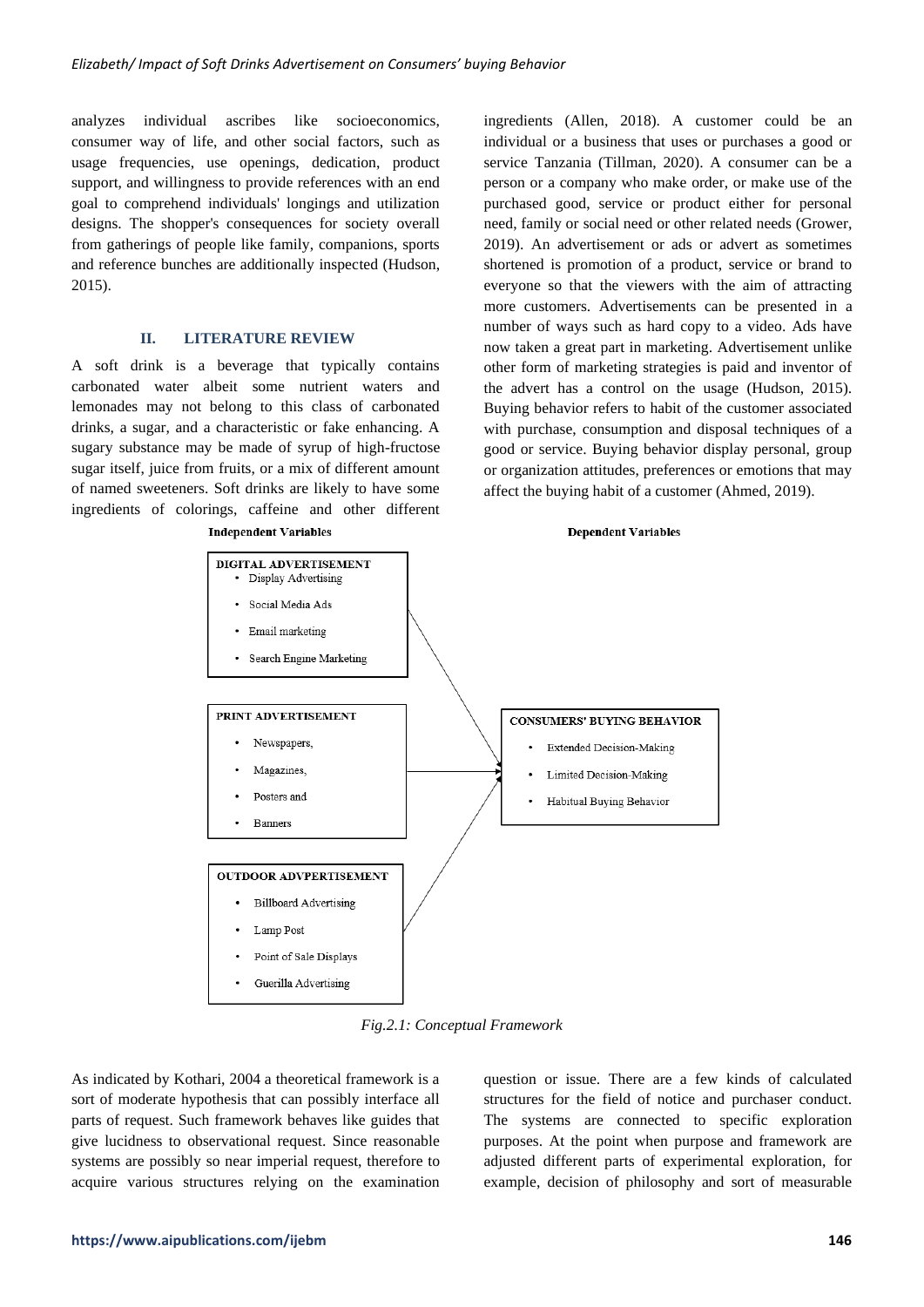analyzes individual ascribes like socioeconomics, consumer way of life, and other social factors, such as usage frequencies, use openings, dedication, product support, and willingness to provide references with an end goal to comprehend individuals' longings and utilization designs. The shopper's consequences for society overall from gatherings of people like family, companions, sports and reference bunches are additionally inspected (Hudson, 2015).

## **II. LITERATURE REVIEW**

A soft drink is a beverage that typically contains carbonated water albeit some nutrient waters and lemonades may not belong to this class of carbonated drinks, a sugar, and a characteristic or fake enhancing. A sugary substance may be made of syrup of high-fructose sugar itself, juice from fruits, or a mix of different amount of named sweeteners. Soft drinks are likely to have some ingredients of colorings, caffeine and other different

**Independent Variables** 

ingredients (Allen, 2018). A customer could be an individual or a business that uses or purchases a good or service Tanzania (Tillman, 2020). A consumer can be a person or a company who make order, or make use of the purchased good, service or product either for personal need, family or social need or other related needs (Grower, 2019). An advertisement or ads or advert as sometimes shortened is promotion of a product, service or brand to everyone so that the viewers with the aim of attracting more customers. Advertisements can be presented in a number of ways such as hard copy to a video. Ads have now taken a great part in marketing. Advertisement unlike other form of marketing strategies is paid and inventor of the advert has a control on the usage (Hudson, 2015). Buying behavior refers to habit of the customer associated with purchase, consumption and disposal techniques of a good or service. Buying behavior display personal, group or organization attitudes, preferences or emotions that may affect the buying habit of a customer (Ahmed, 2019).

**Dependent Variables** 



*Fig.2.1: Conceptual Framework*

As indicated by Kothari, 2004 a theoretical framework is a sort of moderate hypothesis that can possibly interface all parts of request. Such framework behaves like guides that give lucidness to observational request. Since reasonable systems are possibly so near imperial request, therefore to acquire various structures relying on the examination question or issue. There are a few kinds of calculated structures for the field of notice and purchaser conduct. The systems are connected to specific exploration purposes. At the point when purpose and framework are adjusted different parts of experimental exploration, for example, decision of philosophy and sort of measurable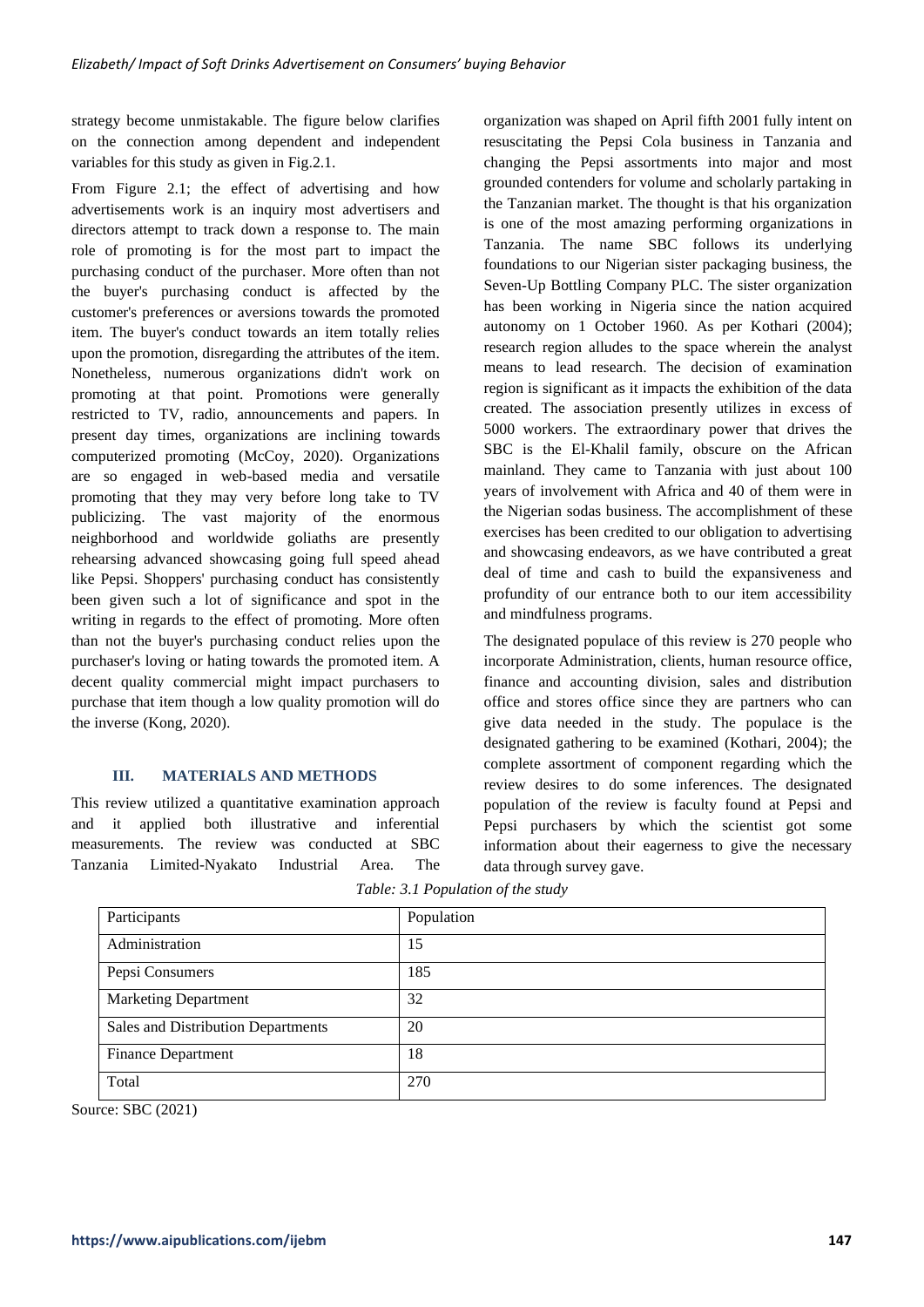strategy become unmistakable. The figure below clarifies on the connection among dependent and independent variables for this study as given in Fig.2.1.

From Figure 2.1; the effect of advertising and how advertisements work is an inquiry most advertisers and directors attempt to track down a response to. The main role of promoting is for the most part to impact the purchasing conduct of the purchaser. More often than not the buyer's purchasing conduct is affected by the customer's preferences or aversions towards the promoted item. The buyer's conduct towards an item totally relies upon the promotion, disregarding the attributes of the item. Nonetheless, numerous organizations didn't work on promoting at that point. Promotions were generally restricted to TV, radio, announcements and papers. In present day times, organizations are inclining towards computerized promoting (McCoy, 2020). Organizations are so engaged in web-based media and versatile promoting that they may very before long take to TV publicizing. The vast majority of the enormous neighborhood and worldwide goliaths are presently rehearsing advanced showcasing going full speed ahead like Pepsi. Shoppers' purchasing conduct has consistently been given such a lot of significance and spot in the writing in regards to the effect of promoting. More often than not the buyer's purchasing conduct relies upon the purchaser's loving or hating towards the promoted item. A decent quality commercial might impact purchasers to purchase that item though a low quality promotion will do the inverse (Kong, 2020).

# **III. MATERIALS AND METHODS**

This review utilized a quantitative examination approach and it applied both illustrative and inferential measurements. The review was conducted at SBC Tanzania Limited-Nyakato Industrial Area. The organization was shaped on April fifth 2001 fully intent on resuscitating the Pepsi Cola business in Tanzania and changing the Pepsi assortments into major and most grounded contenders for volume and scholarly partaking in the Tanzanian market. The thought is that his organization is one of the most amazing performing organizations in Tanzania. The name SBC follows its underlying foundations to our Nigerian sister packaging business, the Seven-Up Bottling Company PLC. The sister organization has been working in Nigeria since the nation acquired autonomy on 1 October 1960. As per Kothari (2004); research region alludes to the space wherein the analyst means to lead research. The decision of examination region is significant as it impacts the exhibition of the data created. The association presently utilizes in excess of 5000 workers. The extraordinary power that drives the SBC is the El-Khalil family, obscure on the African mainland. They came to Tanzania with just about 100 years of involvement with Africa and 40 of them were in the Nigerian sodas business. The accomplishment of these exercises has been credited to our obligation to advertising and showcasing endeavors, as we have contributed a great deal of time and cash to build the expansiveness and profundity of our entrance both to our item accessibility and mindfulness programs.

The designated populace of this review is 270 people who incorporate Administration, clients, human resource office, finance and accounting division, sales and distribution office and stores office since they are partners who can give data needed in the study. The populace is the designated gathering to be examined (Kothari, 2004); the complete assortment of component regarding which the review desires to do some inferences. The designated population of the review is faculty found at Pepsi and Pepsi purchasers by which the scientist got some information about their eagerness to give the necessary data through survey gave.

|  | Table: 3.1 Population of the study |  |
|--|------------------------------------|--|
|  |                                    |  |

| Participants                       | Population |
|------------------------------------|------------|
| Administration                     | 15         |
| Pepsi Consumers                    | 185        |
| <b>Marketing Department</b>        | 32         |
| Sales and Distribution Departments | 20         |
| <b>Finance Department</b>          | 18         |
| Total                              | 270        |

Source: SBC (2021)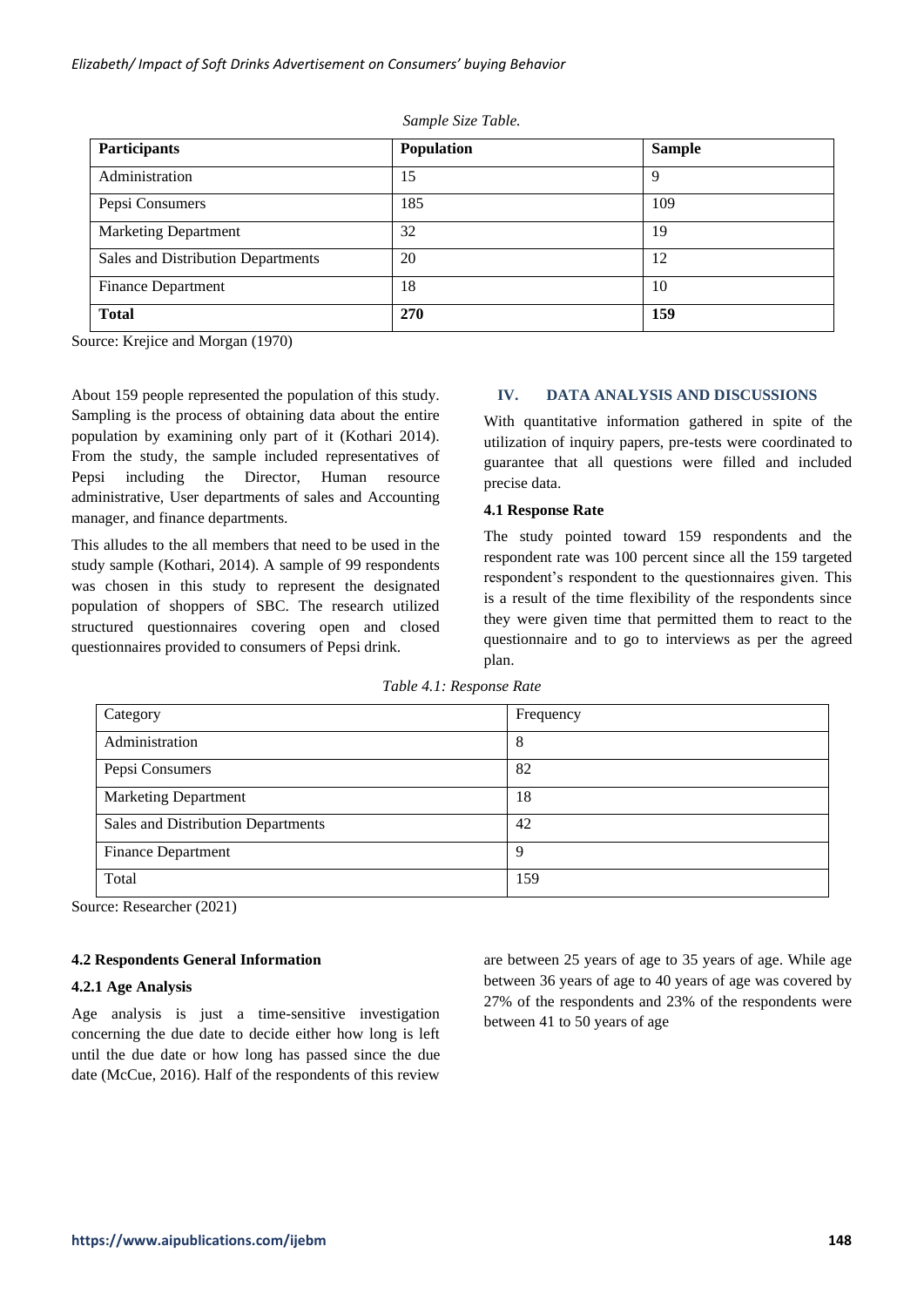| <b>Participants</b>                | Population | <b>Sample</b> |
|------------------------------------|------------|---------------|
| Administration                     | 15         | 9             |
| Pepsi Consumers                    | 185        | 109           |
| <b>Marketing Department</b>        | 32         | 19            |
| Sales and Distribution Departments | 20         | 12            |
| <b>Finance Department</b>          | 18         | 10            |
| <b>Total</b>                       | 270        | 159           |

*Sample Size Table.*

Source: Krejice and Morgan (1970)

About 159 people represented the population of this study. Sampling is the process of obtaining data about the entire population by examining only part of it (Kothari 2014). From the study, the sample included representatives of Pepsi including the Director, Human resource administrative, User departments of sales and Accounting manager, and finance departments.

This alludes to the all members that need to be used in the study sample (Kothari, 2014). A sample of 99 respondents was chosen in this study to represent the designated population of shoppers of SBC. The research utilized structured questionnaires covering open and closed questionnaires provided to consumers of Pepsi drink.

### **IV. DATA ANALYSIS AND DISCUSSIONS**

With quantitative information gathered in spite of the utilization of inquiry papers, pre-tests were coordinated to guarantee that all questions were filled and included precise data.

#### **4.1 Response Rate**

The study pointed toward 159 respondents and the respondent rate was 100 percent since all the 159 targeted respondent's respondent to the questionnaires given. This is a result of the time flexibility of the respondents since they were given time that permitted them to react to the questionnaire and to go to interviews as per the agreed plan.

| Table 4.1: Response Rate |  |
|--------------------------|--|
|--------------------------|--|

| Category                           | Frequency |
|------------------------------------|-----------|
| Administration                     | 8         |
| Pepsi Consumers                    | 82        |
| <b>Marketing Department</b>        | 18        |
| Sales and Distribution Departments | 42        |
| Finance Department                 | Q         |
| Total                              | 159       |

Source: Researcher (2021)

# **4.2 Respondents General Information**

#### **4.2.1 Age Analysis**

Age analysis is just a time-sensitive investigation concerning the due date to decide either how long is left until the due date or how long has passed since the due date (McCue, 2016). Half of the respondents of this review

are between 25 years of age to 35 years of age. While age between 36 years of age to 40 years of age was covered by 27% of the respondents and 23% of the respondents were between 41 to 50 years of age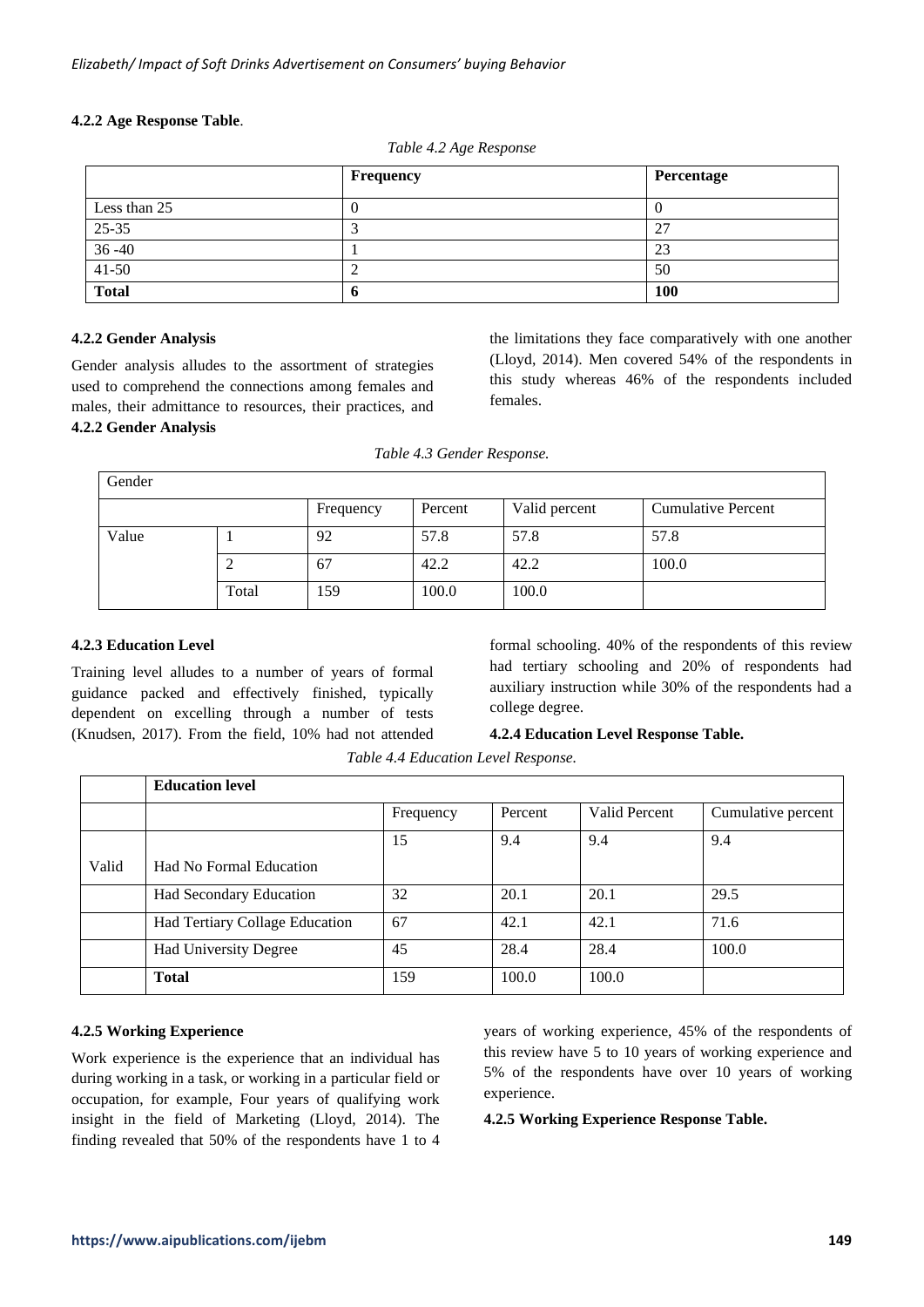# **4.2.2 Age Response Table**.

|              | $\sim$    |            |
|--------------|-----------|------------|
|              | Frequency | Percentage |
| Less than 25 | U         |            |
| 25-35        |           | 27         |
| $36 - 40$    |           | 23         |
| $41 - 50$    |           | 50         |
| <b>Total</b> | O         | 100        |

*Table 4.2 Age Response*

# **4.2.2 Gender Analysis**

Gender analysis alludes to the assortment of strategies used to comprehend the connections among females and males, their admittance to resources, their practices, and **4.2.2 Gender Analysis**

the limitations they face comparatively with one another (Lloyd, 2014). Men covered 54% of the respondents in this study whereas 46% of the respondents included females.

|  | Table 4.3 Gender Response. |  |
|--|----------------------------|--|
|  |                            |  |

| Gender |       |           |         |               |                           |
|--------|-------|-----------|---------|---------------|---------------------------|
|        |       | Frequency | Percent | Valid percent | <b>Cumulative Percent</b> |
| Value  |       | 92        | 57.8    | 57.8          | 57.8                      |
|        | ∠     | 67        | 42.2    | 42.2          | 100.0                     |
|        | Total | 159       | 100.0   | 100.0         |                           |

# **4.2.3 Education Level**

Training level alludes to a number of years of formal guidance packed and effectively finished, typically dependent on excelling through a number of tests (Knudsen, 2017). From the field, 10% had not attended

formal schooling. 40% of the respondents of this review had tertiary schooling and 20% of respondents had auxiliary instruction while 30% of the respondents had a college degree.

# **4.2.4 Education Level Response Table.**

*Table 4.4 Education Level Response.*

|       | <b>Education level</b>         |           |         |               |                    |
|-------|--------------------------------|-----------|---------|---------------|--------------------|
|       |                                | Frequency | Percent | Valid Percent | Cumulative percent |
|       |                                | 15        | 9.4     | 9.4           | 9.4                |
| Valid | <b>Had No Formal Education</b> |           |         |               |                    |
|       | Had Secondary Education        | 32        | 20.1    | 20.1          | 29.5               |
|       | Had Tertiary Collage Education | 67        | 42.1    | 42.1          | 71.6               |
|       | <b>Had University Degree</b>   | 45        | 28.4    | 28.4          | 100.0              |
|       | <b>Total</b>                   | 159       | 100.0   | 100.0         |                    |

# **4.2.5 Working Experience**

Work experience is the experience that an individual has during working in a task, or working in a particular field or occupation, for example, Four years of qualifying work insight in the field of Marketing (Lloyd, 2014). The finding revealed that 50% of the respondents have 1 to 4 years of working experience, 45% of the respondents of this review have 5 to 10 years of working experience and 5% of the respondents have over 10 years of working experience.

**4.2.5 Working Experience Response Table.**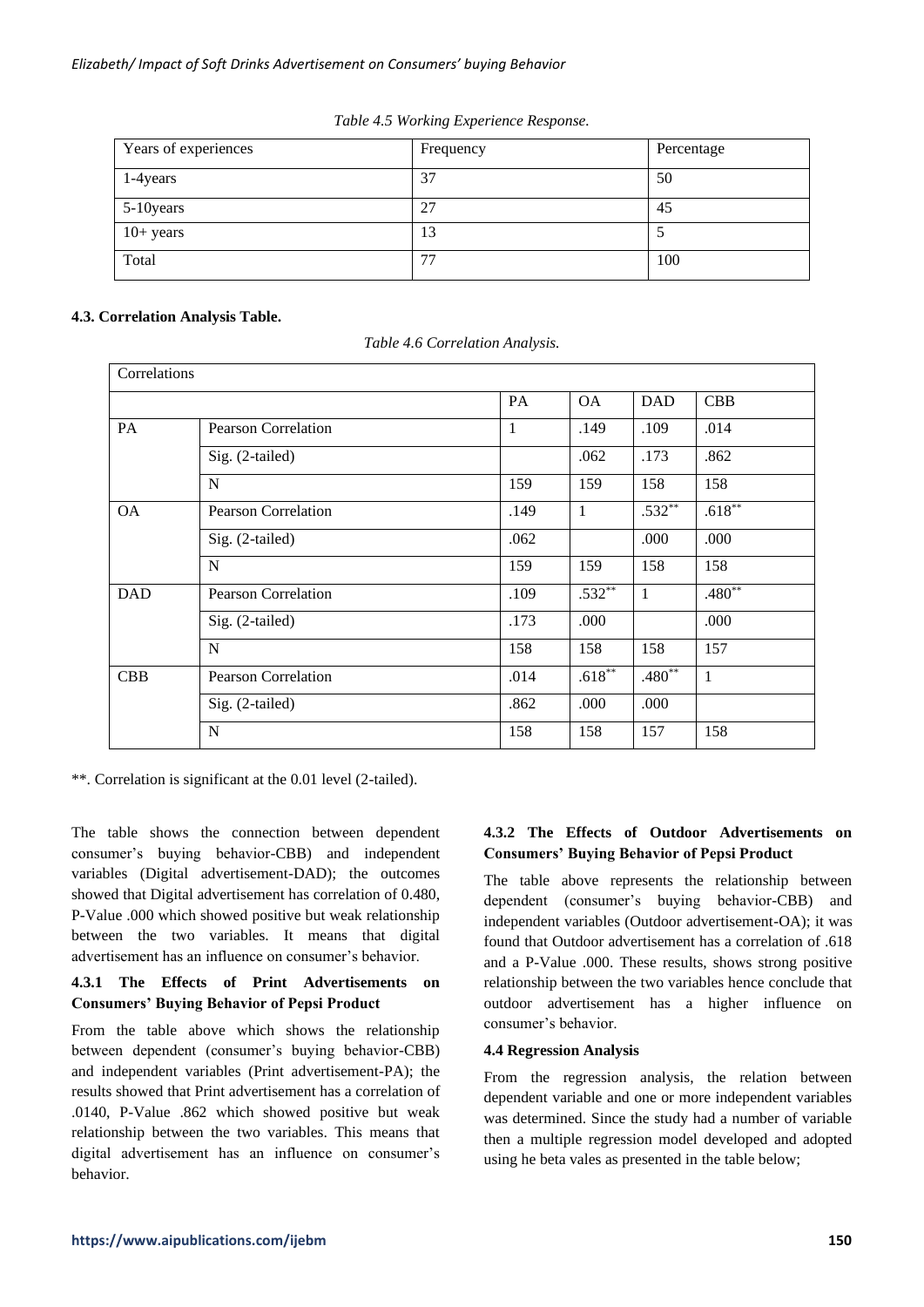| Years of experiences | Frequency | Percentage |
|----------------------|-----------|------------|
| 1-4 years            | 37        | 50         |
| 5-10 years           | 27        | 45         |
| $10+$ years          | 13        |            |
| Total                | 77        | 100        |

*Table 4.5 Working Experience Response.*

# **4.3. Correlation Analysis Table.**

*Table 4.6 Correlation Analysis.*

| Correlations |                            |      |           |              |             |
|--------------|----------------------------|------|-----------|--------------|-------------|
|              |                            | PA   | <b>OA</b> | <b>DAD</b>   | <b>CBB</b>  |
| PA           | <b>Pearson Correlation</b> | 1    | .149      | .109         | .014        |
|              | Sig. (2-tailed)            |      | .062      | .173         | .862        |
|              | N                          | 159  | 159       | 158          | 158         |
| <b>OA</b>    | <b>Pearson Correlation</b> | .149 | -1        | $.532**$     | $.618**$    |
|              | Sig. (2-tailed)            | .062 |           | .000         | .000        |
|              | N                          | 159  | 159       | 158          | 158         |
| <b>DAD</b>   | <b>Pearson Correlation</b> | .109 | $.532**$  | $\mathbf{1}$ | $.480^{**}$ |
|              | Sig. (2-tailed)            | .173 | .000      |              | .000        |
|              | N                          | 158  | 158       | 158          | 157         |
| <b>CBB</b>   | <b>Pearson Correlation</b> | .014 | $.618**$  | $.480**$     | 1           |
|              | Sig. (2-tailed)            | .862 | .000      | .000         |             |
|              | N                          | 158  | 158       | 157          | 158         |

\*\*. Correlation is significant at the 0.01 level (2-tailed).

The table shows the connection between dependent consumer's buying behavior-CBB) and independent variables (Digital advertisement-DAD); the outcomes showed that Digital advertisement has correlation of 0.480, P-Value .000 which showed positive but weak relationship between the two variables. It means that digital advertisement has an influence on consumer's behavior.

# **4.3.1 The Effects of Print Advertisements on Consumers' Buying Behavior of Pepsi Product**

From the table above which shows the relationship between dependent (consumer's buying behavior-CBB) and independent variables (Print advertisement-PA); the results showed that Print advertisement has a correlation of .0140, P-Value .862 which showed positive but weak relationship between the two variables. This means that digital advertisement has an influence on consumer's behavior.

# **4.3.2 The Effects of Outdoor Advertisements on Consumers' Buying Behavior of Pepsi Product**

The table above represents the relationship between dependent (consumer's buying behavior-CBB) and independent variables (Outdoor advertisement-OA); it was found that Outdoor advertisement has a correlation of .618 and a P-Value .000. These results, shows strong positive relationship between the two variables hence conclude that outdoor advertisement has a higher influence on consumer's behavior.

# **4.4 Regression Analysis**

From the regression analysis, the relation between dependent variable and one or more independent variables was determined. Since the study had a number of variable then a multiple regression model developed and adopted using he beta vales as presented in the table below;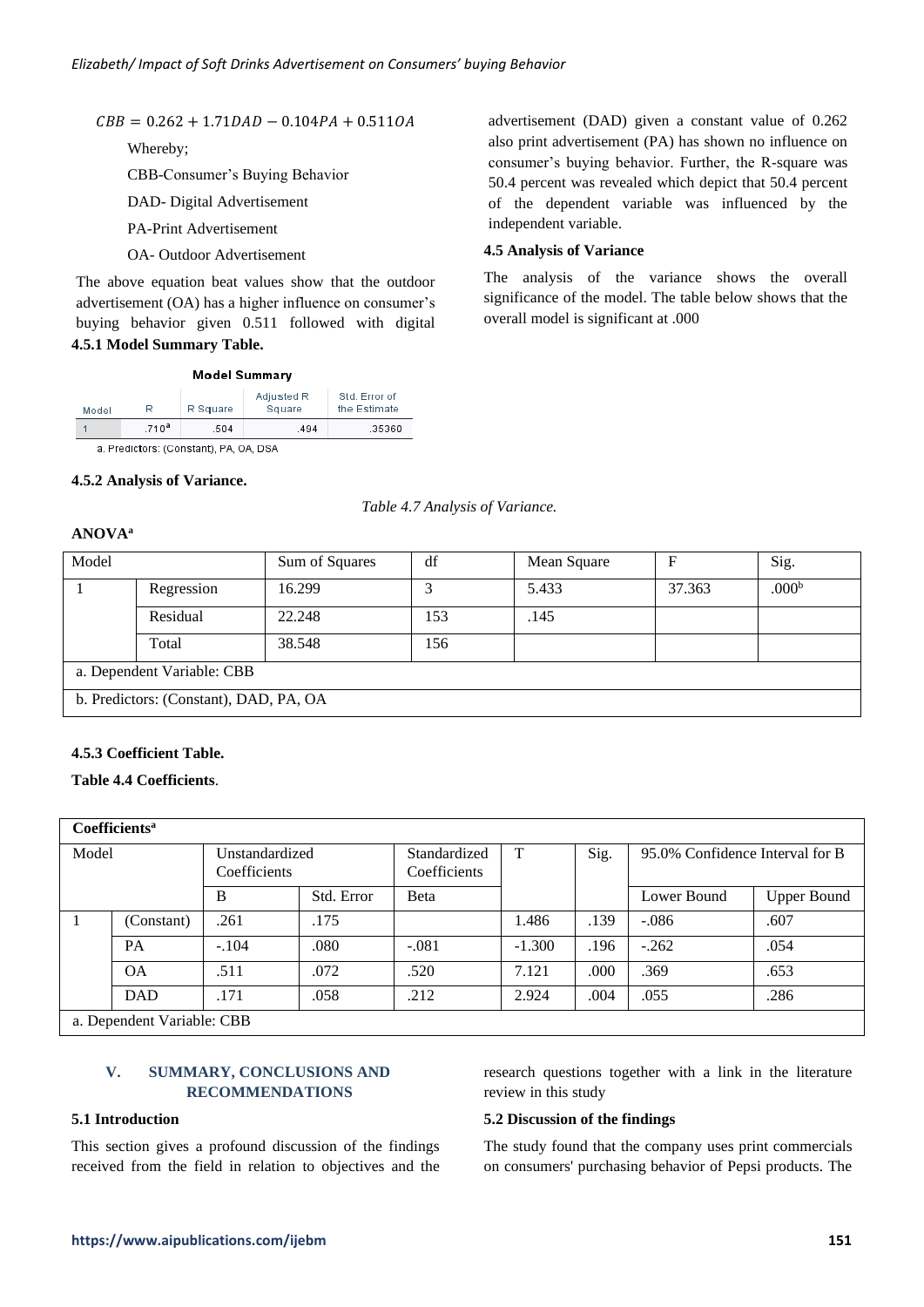$CBB = 0.262 + 1.71 DAD - 0.104 PA + 0.511OA$ 

Whereby;

CBB-Consumer's Buying Behavior

DAD- Digital Advertisement

PA-Print Advertisement

OA- Outdoor Advertisement

The above equation beat values show that the outdoor advertisement (OA) has a higher influence on consumer's buying behavior given 0.511 followed with digital **4.5.1 Model Summary Table.**

|  | Model Summary |
|--|---------------|
|  |               |

|       | .710 <sup>a</sup> | .504     | .494                 | .35360                        |
|-------|-------------------|----------|----------------------|-------------------------------|
| Model | R                 | R Square | Adjusted R<br>Square | Std. Error of<br>the Estimate |

a. Predictors: (Constant), PA, OA, DSA

#### **4.5.2 Analysis of Variance.**

*Table 4.7 Analysis of Variance.*

# **ANOVA<sup>a</sup>**

| Model                                  |            | Sum of Squares | df  | Mean Square |        | Sig.              |  |
|----------------------------------------|------------|----------------|-----|-------------|--------|-------------------|--|
|                                        | Regression | 16.299         |     | 5.433       | 37.363 | .000 <sup>b</sup> |  |
|                                        | Residual   | 22.248         | 153 | .145        |        |                   |  |
|                                        | Total      | 38.548         | 156 |             |        |                   |  |
| a. Dependent Variable: CBB             |            |                |     |             |        |                   |  |
| b. Predictors: (Constant), DAD, PA, OA |            |                |     |             |        |                   |  |

#### **4.5.3 Coefficient Table.**

**Table 4.4 Coefficients**.

| Coefficients <sup>a</sup>  |            |                                |            |                              |          |      |                                 |                    |
|----------------------------|------------|--------------------------------|------------|------------------------------|----------|------|---------------------------------|--------------------|
| Model                      |            | Unstandardized<br>Coefficients |            | Standardized<br>Coefficients | $\top$   | Sig. | 95.0% Confidence Interval for B |                    |
|                            |            | B                              | Std. Error | <b>B</b> eta                 |          |      | Lower Bound                     | <b>Upper Bound</b> |
|                            | (Constant) | .261                           | .175       |                              | 1.486    | .139 | $-.086$                         | .607               |
|                            | <b>PA</b>  | $-.104$                        | .080       | $-.081$                      | $-1.300$ | .196 | $-.262$                         | .054               |
|                            | <b>OA</b>  | .511                           | .072       | .520                         | 7.121    | .000 | .369                            | .653               |
|                            | <b>DAD</b> | .171                           | .058       | .212                         | 2.924    | .004 | .055                            | .286               |
| a. Dependent Variable: CBB |            |                                |            |                              |          |      |                                 |                    |

# **V. SUMMARY, CONCLUSIONS AND RECOMMENDATIONS**

# **5.1 Introduction**

This section gives a profound discussion of the findings received from the field in relation to objectives and the research questions together with a link in the literature review in this study

#### **5.2 Discussion of the findings**

The study found that the company uses print commercials on consumers' purchasing behavior of Pepsi products. The

advertisement (DAD) given a constant value of 0.262 also print advertisement (PA) has shown no influence on consumer's buying behavior. Further, the R-square was 50.4 percent was revealed which depict that 50.4 percent of the dependent variable was influenced by the independent variable.

#### **4.5 Analysis of Variance**

The analysis of the variance shows the overall significance of the model. The table below shows that the overall model is significant at .000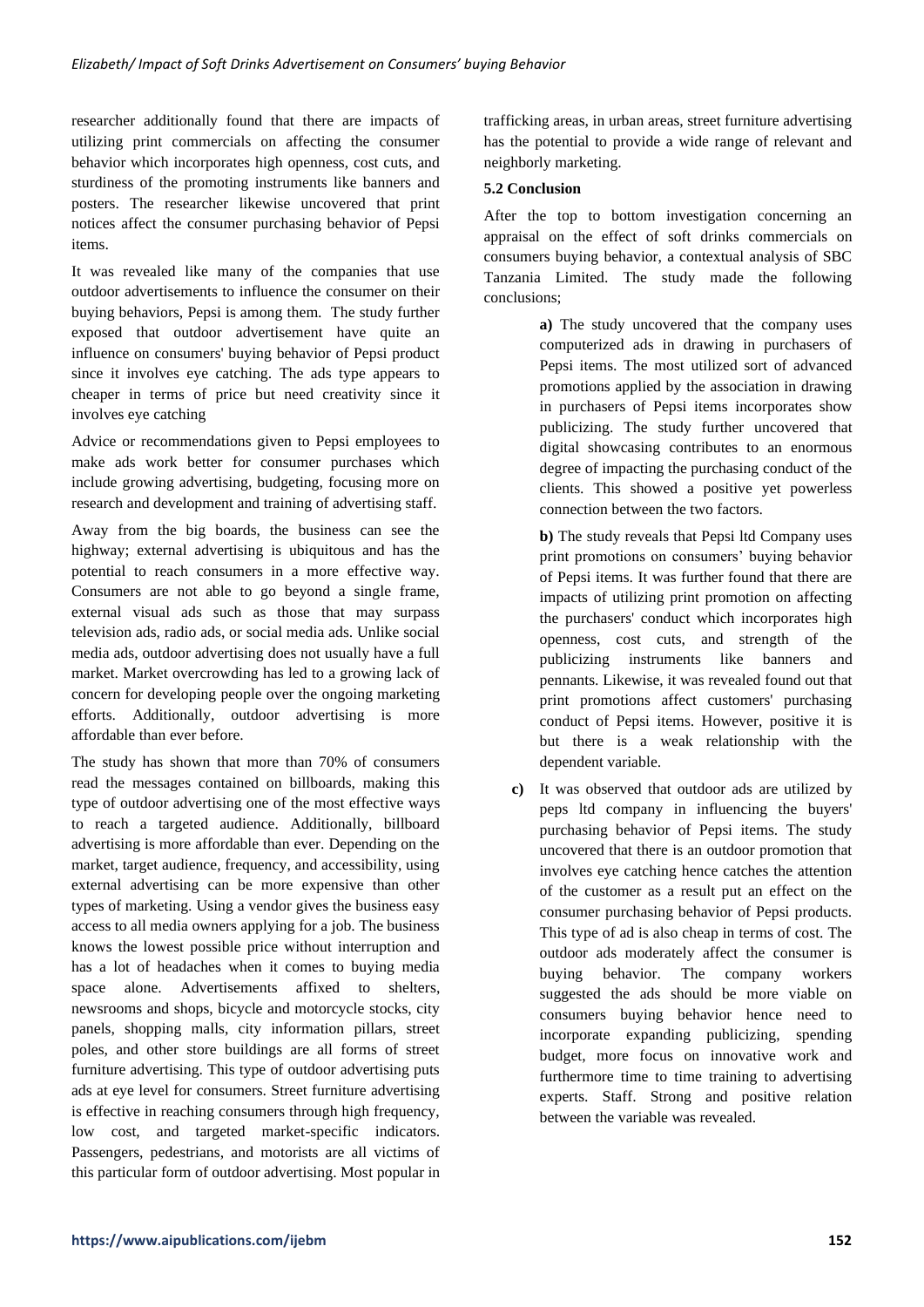researcher additionally found that there are impacts of utilizing print commercials on affecting the consumer behavior which incorporates high openness, cost cuts, and sturdiness of the promoting instruments like banners and posters. The researcher likewise uncovered that print notices affect the consumer purchasing behavior of Pepsi items.

It was revealed like many of the companies that use outdoor advertisements to influence the consumer on their buying behaviors, Pepsi is among them. The study further exposed that outdoor advertisement have quite an influence on consumers' buying behavior of Pepsi product since it involves eye catching. The ads type appears to cheaper in terms of price but need creativity since it involves eye catching

Advice or recommendations given to Pepsi employees to make ads work better for consumer purchases which include growing advertising, budgeting, focusing more on research and development and training of advertising staff.

Away from the big boards, the business can see the highway; external advertising is ubiquitous and has the potential to reach consumers in a more effective way. Consumers are not able to go beyond a single frame, external visual ads such as those that may surpass television ads, radio ads, or social media ads. Unlike social media ads, outdoor advertising does not usually have a full market. Market overcrowding has led to a growing lack of concern for developing people over the ongoing marketing efforts. Additionally, outdoor advertising is more affordable than ever before.

The study has shown that more than 70% of consumers read the messages contained on billboards, making this type of outdoor advertising one of the most effective ways to reach a targeted audience. Additionally, billboard advertising is more affordable than ever. Depending on the market, target audience, frequency, and accessibility, using external advertising can be more expensive than other types of marketing. Using a vendor gives the business easy access to all media owners applying for a job. The business knows the lowest possible price without interruption and has a lot of headaches when it comes to buying media space alone. Advertisements affixed to shelters, newsrooms and shops, bicycle and motorcycle stocks, city panels, shopping malls, city information pillars, street poles, and other store buildings are all forms of street furniture advertising. This type of outdoor advertising puts ads at eye level for consumers. Street furniture advertising is effective in reaching consumers through high frequency, low cost, and targeted market-specific indicators. Passengers, pedestrians, and motorists are all victims of this particular form of outdoor advertising. Most popular in

trafficking areas, in urban areas, street furniture advertising has the potential to provide a wide range of relevant and neighborly marketing.

# **5.2 Conclusion**

After the top to bottom investigation concerning an appraisal on the effect of soft drinks commercials on consumers buying behavior, a contextual analysis of SBC Tanzania Limited. The study made the following conclusions;

> **a)** The study uncovered that the company uses computerized ads in drawing in purchasers of Pepsi items. The most utilized sort of advanced promotions applied by the association in drawing in purchasers of Pepsi items incorporates show publicizing. The study further uncovered that digital showcasing contributes to an enormous degree of impacting the purchasing conduct of the clients. This showed a positive yet powerless connection between the two factors.

> **b**) The study reveals that Pepsi ltd Company uses print promotions on consumers' buying behavior of Pepsi items. It was further found that there are impacts of utilizing print promotion on affecting the purchasers' conduct which incorporates high openness, cost cuts, and strength of the publicizing instruments like banners and pennants. Likewise, it was revealed found out that print promotions affect customers' purchasing conduct of Pepsi items. However, positive it is but there is a weak relationship with the dependent variable.

**c)** It was observed that outdoor ads are utilized by peps ltd company in influencing the buyers' purchasing behavior of Pepsi items. The study uncovered that there is an outdoor promotion that involves eye catching hence catches the attention of the customer as a result put an effect on the consumer purchasing behavior of Pepsi products. This type of ad is also cheap in terms of cost. The outdoor ads moderately affect the consumer is buying behavior. The company workers suggested the ads should be more viable on consumers buying behavior hence need to incorporate expanding publicizing, spending budget, more focus on innovative work and furthermore time to time training to advertising experts. Staff. Strong and positive relation between the variable was revealed.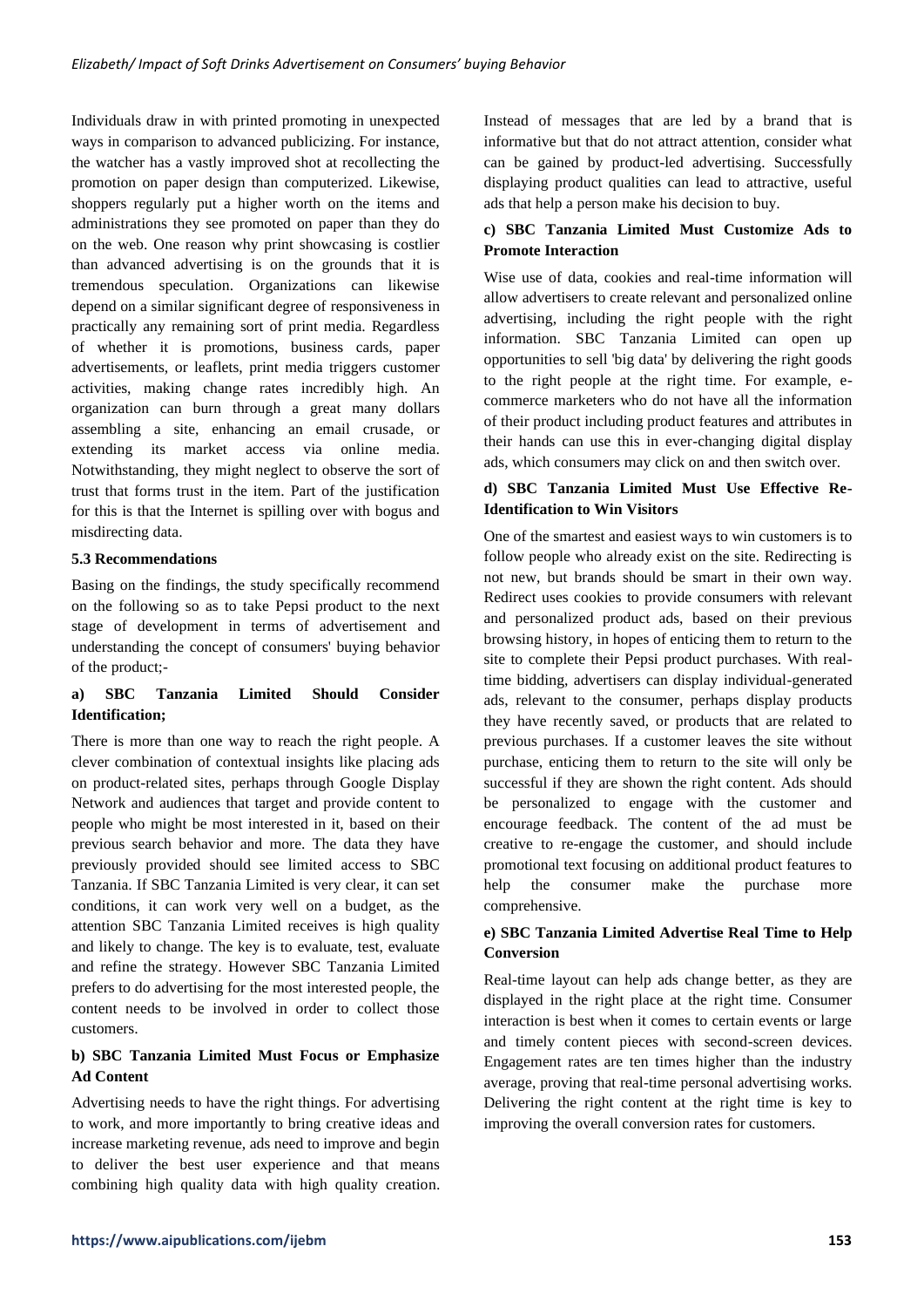Individuals draw in with printed promoting in unexpected ways in comparison to advanced publicizing. For instance, the watcher has a vastly improved shot at recollecting the promotion on paper design than computerized. Likewise, shoppers regularly put a higher worth on the items and administrations they see promoted on paper than they do on the web. One reason why print showcasing is costlier than advanced advertising is on the grounds that it is tremendous speculation. Organizations can likewise depend on a similar significant degree of responsiveness in practically any remaining sort of print media. Regardless of whether it is promotions, business cards, paper advertisements, or leaflets, print media triggers customer activities, making change rates incredibly high. An organization can burn through a great many dollars assembling a site, enhancing an email crusade, or extending its market access via online media. Notwithstanding, they might neglect to observe the sort of trust that forms trust in the item. Part of the justification for this is that the Internet is spilling over with bogus and misdirecting data.

### **5.3 Recommendations**

Basing on the findings, the study specifically recommend on the following so as to take Pepsi product to the next stage of development in terms of advertisement and understanding the concept of consumers' buying behavior of the product;-

# **a) SBC Tanzania Limited Should Consider Identification;**

There is more than one way to reach the right people. A clever combination of contextual insights like placing ads on product-related sites, perhaps through Google Display Network and audiences that target and provide content to people who might be most interested in it, based on their previous search behavior and more. The data they have previously provided should see limited access to SBC Tanzania. If SBC Tanzania Limited is very clear, it can set conditions, it can work very well on a budget, as the attention SBC Tanzania Limited receives is high quality and likely to change. The key is to evaluate, test, evaluate and refine the strategy. However SBC Tanzania Limited prefers to do advertising for the most interested people, the content needs to be involved in order to collect those customers.

# **b) SBC Tanzania Limited Must Focus or Emphasize Ad Content**

Advertising needs to have the right things. For advertising to work, and more importantly to bring creative ideas and increase marketing revenue, ads need to improve and begin to deliver the best user experience and that means combining high quality data with high quality creation. Instead of messages that are led by a brand that is informative but that do not attract attention, consider what can be gained by product-led advertising. Successfully displaying product qualities can lead to attractive, useful ads that help a person make his decision to buy.

# **c) SBC Tanzania Limited Must Customize Ads to Promote Interaction**

Wise use of data, cookies and real-time information will allow advertisers to create relevant and personalized online advertising, including the right people with the right information. SBC Tanzania Limited can open up opportunities to sell 'big data' by delivering the right goods to the right people at the right time. For example, ecommerce marketers who do not have all the information of their product including product features and attributes in their hands can use this in ever-changing digital display ads, which consumers may click on and then switch over.

# **d) SBC Tanzania Limited Must Use Effective Re-Identification to Win Visitors**

One of the smartest and easiest ways to win customers is to follow people who already exist on the site. Redirecting is not new, but brands should be smart in their own way. Redirect uses cookies to provide consumers with relevant and personalized product ads, based on their previous browsing history, in hopes of enticing them to return to the site to complete their Pepsi product purchases. With realtime bidding, advertisers can display individual-generated ads, relevant to the consumer, perhaps display products they have recently saved, or products that are related to previous purchases. If a customer leaves the site without purchase, enticing them to return to the site will only be successful if they are shown the right content. Ads should be personalized to engage with the customer and encourage feedback. The content of the ad must be creative to re-engage the customer, and should include promotional text focusing on additional product features to help the consumer make the purchase more comprehensive.

# **e) SBC Tanzania Limited Advertise Real Time to Help Conversion**

Real-time layout can help ads change better, as they are displayed in the right place at the right time. Consumer interaction is best when it comes to certain events or large and timely content pieces with second-screen devices. Engagement rates are ten times higher than the industry average, proving that real-time personal advertising works. Delivering the right content at the right time is key to improving the overall conversion rates for customers.